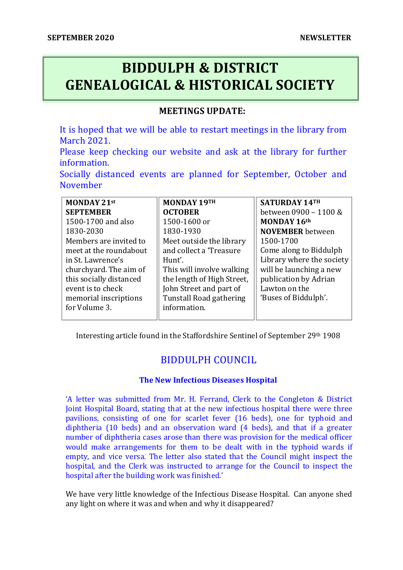# **BIDDULPH & DISTRICT GENEALOGICAL & HISTORICAL SOCIETY**

### **MEETINGS UPDATE:**

It is hoped that we will be able to restart meetings in the library from March 2021.

Please keep checking our website and ask at the library for further information.

Socially distanced events are planned for September, October and November

| MONDAY 21st             | MONDAY 19TH                    | SATURDAY 14TH             |
|-------------------------|--------------------------------|---------------------------|
| <b>SEPTEMBER</b>        | <b>OCTOBER</b>                 | between 0900 - 1100 &     |
| 1500-1700 and also      | 1500-1600 or                   | MONDAY 16th               |
| 1830-2030               | 1830-1930                      | <b>NOVEMBER</b> between   |
| Members are invited to  | Meet outside the library       | 1500-1700                 |
| meet at the roundabout  | and collect a 'Treasure        | Come along to Biddulph    |
| in St. Lawrence's       | Hunt'.                         | Library where the society |
| churchyard. The aim of  | This will involve walking      | will be launching a new   |
| this socially distanced | the length of High Street,     | publication by Adrian     |
| event is to check       | John Street and part of        | Lawton on the             |
| memorial inscriptions   | <b>Tunstall Road gathering</b> | 'Buses of Biddulph'.      |
| for Volume 3.           | information.                   |                           |
|                         |                                |                           |

Interesting article found in the Staffordshire Sentinel of September 29th 1908

## BIDDULPH COUNCIL

#### **The New Infectious Diseases Hospital**

'A letter was submitted from Mr. H. Ferrand, Clerk to the Congleton & District Joint Hospital Board, stating that at the new infectious hospital there were three pavilions, consisting of one for scarlet fever (16 beds), one for typhoid and diphtheria (10 beds) and an observation ward (4 beds), and that if a greater number of diphtheria cases arose than there was provision for the medical officer would make arrangements for them to be dealt with in the typhoid wards if empty, and vice versa. The letter also stated that the Council might inspect the hospital, and the Clerk was instructed to arrange for the Council to inspect the hospital after the building work was finished.'

We have very little knowledge of the Infectious Disease Hospital. Can anyone shed any light on where it was and when and why it disappeared?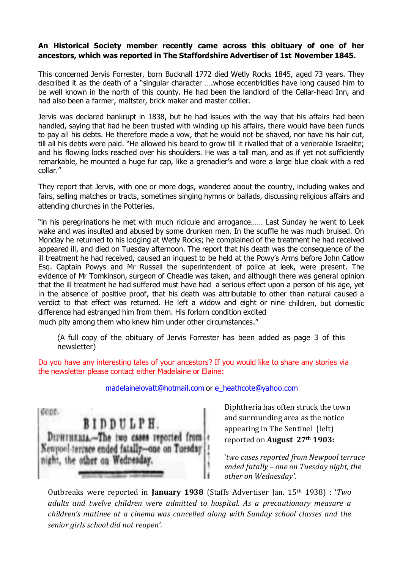#### **An Historical Society member recently came across this obituary of one of her ancestors, which was reported in The Staffordshire Advertiser of 1st November 1845.**

This concerned Jervis Forrester, born Bucknall 1772 died Wetly Rocks 1845, aged 73 years. They described it as the death of a "singular character ….whose eccentricities have long caused him to be well known in the north of this county. He had been the landlord of the Cellar-head Inn, and had also been a farmer, maltster, brick maker and master collier.

Jervis was declared bankrupt in 1838, but he had issues with the way that his affairs had been handled, saying that had he been trusted with winding up his affairs, there would have been funds to pay all his debts. He therefore made a vow, that he would not be shaved, nor have his hair cut, till all his debts were paid. "He allowed his beard to grow till it rivalled that of a venerable Israelite; and his flowing locks reached over his shoulders. He was a tall man, and as if yet not sufficiently remarkable, he mounted a huge fur cap, like a grenadier's and wore a large blue cloak with a red collar."

They report that Jervis, with one or more dogs, wandered about the country, including wakes and fairs, selling matches or tracts, sometimes singing hymns or ballads, discussing religious affairs and attending churches in the Potteries.

"in his peregrinations he met with much ridicule and arrogance…… Last Sunday he went to Leek wake and was insulted and abused by some drunken men. In the scuffle he was much bruised. On Monday he returned to his lodging at Wetly Rocks; he complained of the treatment he had received appeared ill, and died on Tuesday afternoon. The report that his death was the consequence of the ill treatment he had received, caused an inquest to be held at the Powy's Arms before John Catlow Esq. Captain Powys and Mr Russell the superintendent of police at leek, were present. The evidence of Mr Tomkinson, surgeon of Cheadle was taken, and although there was general opinion that the ill treatment he had suffered must have had a serious effect upon a person of his age, yet in the absence of positive proof, that his death was attributable to other than natural caused a verdict to that effect was returned. He left a widow and eight or nine children, but domestic difference had estranged him from them. His forlorn condition excited much pity among them who knew him under other circumstances."

(A full copy of the obituary of Jervis Forrester has been added as page 3 of this newsletter)

Do you have any interesting tales of your ancestors? If you would like to share any stories via the newsletter please contact either Madelaine or Elaine:

madelainelovatt@hotmail.com or e\_heathcote@yahoo.com

cone. BIDDULPH. DIPHTHERIA .- The two cases reported from Newpool terrace ended fatally-one on Tuesday night, the other on Wednesday.

Diphtheria has often struck the town and surrounding area as the notice appearing in The Sentinel (left) reported on **August 27th 1903:**

'*two cases reported from Newpool terrace ended fatally – one on Tuesday night, the other on Wednesday'.* 

Outbreaks were reported in **January 1938** (Staffs Advertiser Jan. 15th 1938) : '*Two adults and twelve children were admitted to hospital. As a precautionary measure a children's matinee at a cinema was cancelled along with Sunday school classes and the senior girls school did not reopen'.*